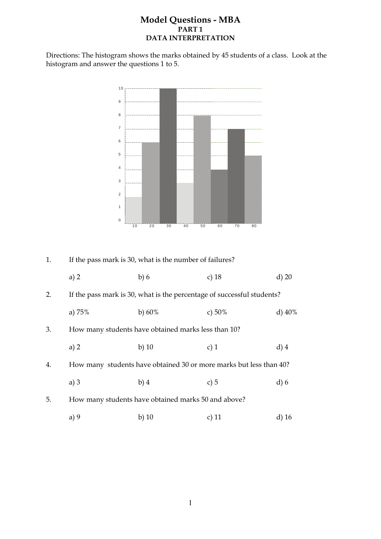### **Model Questions - MBA PART 1 DATA INTERPRETATION**

Directions: The histogram shows the marks obtained by 45 students of a class. Look at the histogram and answer the questions 1 to 5.



| 1. |          | If the pass mark is 30, what is the number of failures? |                                                                        |           |
|----|----------|---------------------------------------------------------|------------------------------------------------------------------------|-----------|
|    | a) $2$   | b)6                                                     | c) $18$                                                                | $d$ ) 20  |
| 2. |          |                                                         | If the pass mark is 30, what is the percentage of successful students? |           |
|    | a) $75%$ | b) $60\%$                                               | c) $50\%$                                                              | d) $40\%$ |
| 3. |          | How many students have obtained marks less than 10?     |                                                                        |           |
|    | a) 2     | b) $10$                                                 | c) $1$                                                                 | $d)$ 4    |
| 4. |          |                                                         | How many students have obtained 30 or more marks but less than 40?     |           |
|    | a) $3$   | $b)$ 4                                                  | c) $5$                                                                 | $d$ ) 6   |
| 5. |          | How many students have obtained marks 50 and above?     |                                                                        |           |
|    | a) $9$   | b) $10$                                                 | c) $11$                                                                | $d)$ 16   |
|    |          |                                                         |                                                                        |           |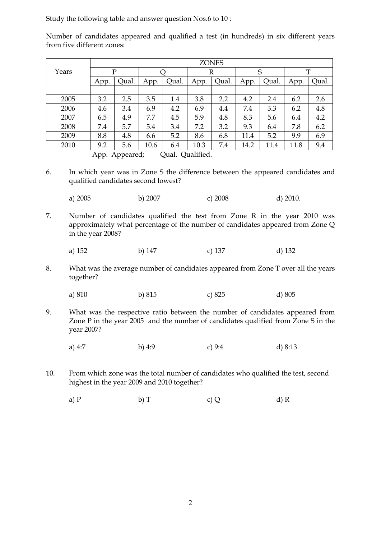Study the following table and answer question Nos.6 to 10 :

Number of candidates appeared and qualified a test (in hundreds) in six different years from five different zones:

|       |      |       |      |       |      | <b>ZONES</b> |      |       |      |       |
|-------|------|-------|------|-------|------|--------------|------|-------|------|-------|
| Years |      | P     |      |       |      | R            |      | S     |      | T     |
|       | App. | Oual. | App. | Qual. | App. | Qual.        | App. | Qual. | App. | Qual. |
|       |      |       |      |       |      |              |      |       |      |       |
| 2005  | 3.2  | 2.5   | 3.5  | 1.4   | 3.8  | 2.2          | 4.2  | 2.4   | 6.2  | 2.6   |
| 2006  | 4.6  | 3.4   | 6.9  | 4.2   | 6.9  | 4.4          | 7.4  | 3.3   | 6.2  | 4.8   |
| 2007  | 6.5  | 4.9   | 7.7  | 4.5   | 5.9  | 4.8          | 8.3  | 5.6   | 6.4  | 4.2   |
| 2008  | 7.4  | 5.7   | 5.4  | 3.4   | 7.2  | 3.2          | 9.3  | 6.4   | 7.8  | 6.2   |
| 2009  | 8.8  | 4.8   | 6.6  | 5.2   | 8.6  | 6.8          | 11.4 | 5.2   | 9.9  | 6.9   |
| 2010  | 9.2  | 5.6   | 10.6 | 6.4   | 10.3 | 7.4          | 14.2 | 11.4  | 11.8 | 9.4   |

App. Appeared; Qual. Qualified.

- 6. In which year was in Zone S the difference between the appeared candidates and qualified candidates second lowest?
- a) 2005 b) 2007 c) 2008 d) 2010.
- 7. Number of candidates qualified the test from Zone R in the year 2010 was approximately what percentage of the number of candidates appeared from Zone Q in the year 2008?
- a) 152 b) 147 c) 137 d) 132
- 8. What was the average number of candidates appeared from Zone T over all the years together?
- a) 810 b) 815 c) 825 d) 805
- 9. What was the respective ratio between the number of candidates appeared from Zone P in the year 2005 and the number of candidates qualified from Zone S in the year 2007?
- a) 4:7 b) 4:9 c) 9:4 d) 8:13
- 10. From which zone was the total number of candidates who qualified the test, second highest in the year 2009 and 2010 together?
- a) P b) T c) Q d) R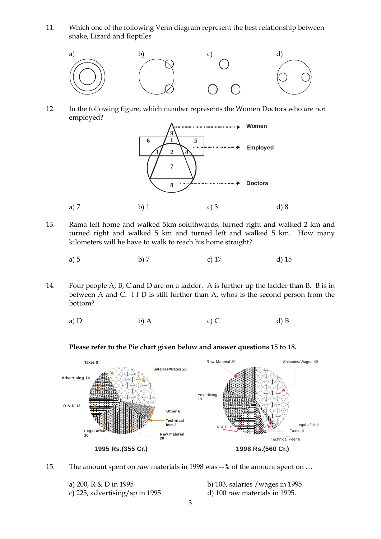11. Which one of the following Venn diagram represent the best relationship between snake, Lizard and Reptiles



12. In the following figure, which number represents the Women Doctors who are not employed?



- 13. Rama left home and walked 5km soiuthwards, turned right and walked 2 km and turned right and walked 5 km and turned left and walked 5 km. How many kilometers will he have to walk to reach his home straight?
- a) 5 b) 7 c) 17 d) 15
- 14. Four people A, B, C and D are on a ladder. A is further up the ladder than B. B is in between A and C. I f D is still further than A, whos is the second person from the bottom?
- a) D b) A c) C d) B

#### **Please refer to the Pie chart given below and answer questions 15 to 18.**



15. The amount spent on raw materials in 1998 was --% of the amount spent on …

c) 225, advertising/sp in 1995 d) 100 raw materials in 1995.

a) 200, R & D in 1995 b) 103, salaries /wages in 1995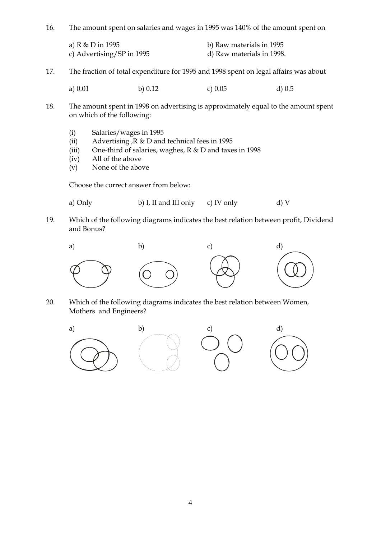16. The amount spent on salaries and wages in 1995 was 140% of the amount spent on

| a) R & D in 1995          | b) Raw materials in 1995  |
|---------------------------|---------------------------|
| c) Advertising/SP in 1995 | d) Raw materials in 1998. |

17. The fraction of total expenditure for 1995 and 1998 spent on legal affairs was about

a) 0.01 b) 0.12 c) 0.05 d) 0.5

- 18. The amount spent in 1998 on advertising is approximately equal to the amount spent on which of the following:
	- (i) Salaries/wages in 1995
	- (ii) Advertising ,R & D and technical fees in 1995
	- (iii) One-third of salaries, waghes, R & D and taxes in 1998
	- (iv) All of the above
	- (v) None of the above

Choose the correct answer from below:

a) Only b) I, II and III only c) IV only d) V

19. Which of the following diagrams indicates the best relation between profit, Dividend and Bonus?



20. Which of the following diagrams indicates the best relation between Women, Mothers and Engineers?

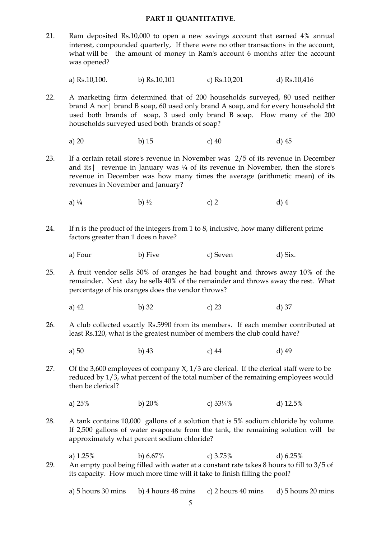#### **PART II QUANTITATIVE.**

21. Ram deposited Rs.10,000 to open a new savings account that earned 4% annual interest, compounded quarterly, If there were no other transactions in the account, what will be the amount of money in Ram's account 6 months after the account was opened?

a) Rs.10,100. b) Rs.10,101 c) Rs.10,201 d) Rs.10,416

- 22. A marketing firm determined that of 200 households surveyed, 80 used neither brand A nor| brand B soap, 60 used only brand A soap, and for every household tht used both brands of soap, 3 used only brand B soap. How many of the 200 households surveyed used both brands of soap?
- a) 20 b) 15 c) 40 d) 45
- 23. If a certain retail store's revenue in November was 2/5 of its revenue in December and its | revenue in January was  $\frac{1}{4}$  of its revenue in November, then the store's revenue in December was how many times the average (arithmetic mean) of its revenues in November and January?

a)  $\frac{1}{4}$  b)  $\frac{1}{2}$  c) 2 d) 4

- 24. If n is the product of the integers from 1 to 8, inclusive, how many different prime factors greater than 1 does n have?
- a) Four b) Five c) Seven d) Six.

25. A fruit vendor sells 50% of oranges he had bought and throws away 10% of the remainder. Next day he sells 40% of the remainder and throws away the rest. What percentage of his oranges does the vendor throws?

- a) 42 b) 32 c) 23 d) 37
- 26. A club collected exactly Rs.5990 from its members. If each member contributed at least Rs.120, what is the greatest number of members the club could have?
- a) 50 b) 43 c) 44 d) 49
- 27. Of the 3,600 employees of company X, 1/3 are clerical. If the clerical staff were to be reduced by 1/3, what percent of the total number of the remaining employees would then be clerical?
- a) 25% b) 20% c) 33⅓% d) 12.5%
- 28. A tank contains 10,000 gallons of a solution that is 5% sodium chloride by volume. If 2,500 gallons of water evaporate from the tank, the remaining solution will be approximately what percent sodium chloride?
- a) 1.25% b) 6.67% c) 3.75% d) 6.25% 29. An empty pool being filled with water at a constant rate takes 8 hours to fill to 3/5 of its capacity. How much more time will it take to finish filling the pool?

a) 5 hours 30 mins b) 4 hours 48 mins c) 2 hours 40 mins d) 5 hours 20 mins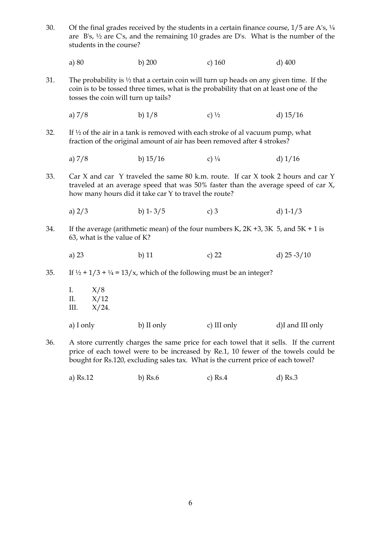- 30. Of the final grades received by the students in a certain finance course,  $1/5$  are A's,  $\frac{1}{4}$  are B's, ½ are C's, and the remaining 10 grades are D's. What is the number of the students in the course?
- a) 80 b) 200 c) 160 d) 400
- 31. The probability is  $\frac{1}{2}$  that a certain coin will turn up heads on any given time. If the coin is to be tossed three times, what is the probability that on at least one of the tosses the coin will turn up tails?
	- a)  $7/8$  b)  $1/8$  c)  $\frac{1}{2}$  d)  $15/16$
- 32. If  $\frac{1}{2}$  of the air in a tank is removed with each stroke of al vacuum pump, what fraction of the original amount of air has been removed after 4 strokes?
	- a)  $7/8$  b)  $15/16$  c)  $\frac{1}{4}$  d)  $1/16$
- 33. Car X and car Y traveled the same 80 k.m. route. If car X took 2 hours and car Y traveled at an average speed that was 50% faster than the average speed of car X, how many hours did it take car Y to travel the route?
	- a)  $2/3$  b)  $1-3/5$  c) 3 d)  $1-1/3$
- 34. If the average (arithmetic mean) of the four numbers K,  $2K + 3$ ,  $3K$  5, and  $5K + 1$  is 63, what is the value of K?
	- a) 23 b) 11 c) 22 d) 25 -3/10
- 35. If  $\frac{1}{2} + \frac{1}{3} + \frac{1}{4} = \frac{13}{x}$ , which of the following must be an integer?

|           | I. $X/8$<br>II. $X/12$<br>III. $X/24$ . |            |             |                  |
|-----------|-----------------------------------------|------------|-------------|------------------|
| a) I only |                                         | b) II only | c) III only | d)I and III only |

- 36. A store currently charges the same price for each towel that it sells. If the current price of each towel were to be increased by Re.1, 10 fewer of the towels could be bought for Rs.120, excluding sales tax. What is the current price of each towel?
	- a) Rs.12 b) Rs.6 c) Rs.4 d) Rs.3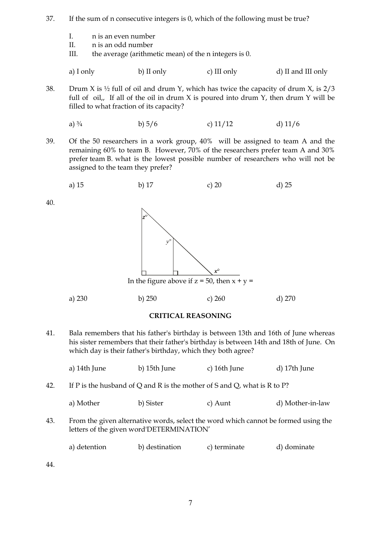- 37. If the sum of n consecutive integers is 0, which of the following must be true?
	- I. n is an even number
	- II. n is an odd number
	- III. the average (arithmetic mean) of the n integers is 0.

| a) I only | b) II only | c) III only | d) II and III only |
|-----------|------------|-------------|--------------------|
|           |            |             |                    |

38. Drum X is  $\frac{1}{2}$  full of oil and drum Y, which has twice the capacity of drum X, is  $\frac{2}{3}$ full of oil, If all of the oil in drum  $X$  is poured into drum  $Y$ , then drum  $Y$  will be filled to what fraction of its capacity?

a) 
$$
\frac{3}{4}
$$
 \t\t b)  $\frac{5}{6}$  \t\t c)  $\frac{11}{12}$  \t\t d)  $\frac{11}{6}$ 

39. Of the 50 researchers in a work group, 40% will be assigned to team A and the remaining 60% to team B. However, 70% of the researchers prefer team A and 30% prefer team B. what is the lowest possible number of researchers who will not be assigned to the team they prefer?

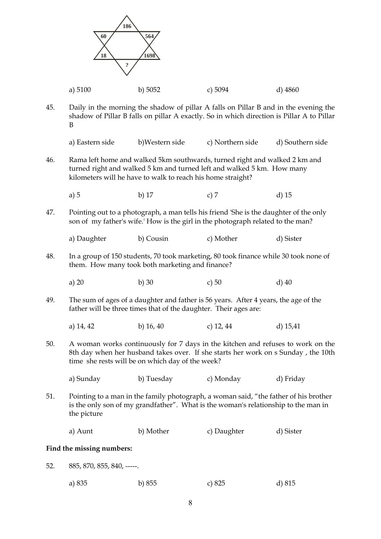|     | 186<br>60                  | 564                                                              |                                                                                                                                                                                   |                  |
|-----|----------------------------|------------------------------------------------------------------|-----------------------------------------------------------------------------------------------------------------------------------------------------------------------------------|------------------|
|     | 18                         | 1698                                                             |                                                                                                                                                                                   |                  |
|     | ?                          |                                                                  |                                                                                                                                                                                   |                  |
|     | a) 5100                    | b) $5052$                                                        | c) 5094                                                                                                                                                                           | $d)$ 4860        |
| 45. | B                          |                                                                  | Daily in the morning the shadow of pillar A falls on Pillar B and in the evening the<br>shadow of Pillar B falls on pillar A exactly. So in which direction is Pillar A to Pillar |                  |
|     | a) Eastern side            | b)Western side                                                   | c) Northern side                                                                                                                                                                  | d) Southern side |
| 46. |                            | kilometers will he have to walk to reach his home straight?      | Rama left home and walked 5km southwards, turned right and walked 2 km and<br>turned right and walked 5 km and turned left and walked 5 km. How many                              |                  |
|     | a) $5$                     | b) $17$                                                          | c) $7$                                                                                                                                                                            | $d)$ 15          |
| 47. |                            |                                                                  | Pointing out to a photograph, a man tells his friend 'She is the daughter of the only<br>son of my father's wife.' How is the girl in the photograph related to the man?          |                  |
|     | a) Daughter                | b) Cousin                                                        | c) Mother                                                                                                                                                                         | d) Sister        |
| 48. |                            | them. How many took both marketing and finance?                  | In a group of 150 students, 70 took marketing, 80 took finance while 30 took none of                                                                                              |                  |
|     | a) $20$                    | b) $30$                                                          | c) 50                                                                                                                                                                             | $d)$ 40          |
| 49. |                            | father will be three times that of the daughter. Their ages are: | The sum of ages of a daughter and father is 56 years. After 4 years, the age of the                                                                                               |                  |
|     | a) 14, 42                  | b) $16, 40$                                                      | c) $12, 44$                                                                                                                                                                       | d) $15,41$       |
| 50. |                            | time she rests will be on which day of the week?                 | A woman works continuously for 7 days in the kitchen and refuses to work on the<br>8th day when her husband takes over. If she starts her work on s Sunday, the 10th              |                  |
|     | a) Sunday                  | b) Tuesday                                                       | c) Monday                                                                                                                                                                         | d) Friday        |
| 51. | the picture                |                                                                  | Pointing to a man in the family photograph, a woman said, "the father of his brother<br>is the only son of my grandfather". What is the woman's relationship to the man in        |                  |
|     | a) Aunt                    | b) Mother                                                        | c) Daughter                                                                                                                                                                       | d) Sister        |
|     | Find the missing numbers:  |                                                                  |                                                                                                                                                                                   |                  |
| 52. | 885, 870, 855, 840, -----. |                                                                  |                                                                                                                                                                                   |                  |
|     | a) 835                     | b) 855                                                           | c) $825$                                                                                                                                                                          | d) 815           |
|     |                            |                                                                  |                                                                                                                                                                                   |                  |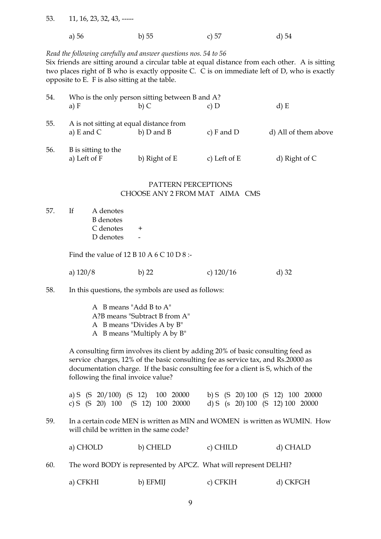53. 11, 16, 23, 32, 43, -----

| a) 56 | $b)$ 55 | c) $57$ | $d$ ) 54 |
|-------|---------|---------|----------|
|       |         |         |          |

#### *Read the following carefully and answer questions nos. 54 to 56*

Six friends are sitting around a circular table at equal distance from each other. A is sitting two places right of B who is exactly opposite C. C is on immediate left of D, who is exactly opposite to E. F is also sitting at the table.

| 54. |                                                           | Who is the only person sitting between B and A? |                |                      |
|-----|-----------------------------------------------------------|-------------------------------------------------|----------------|----------------------|
|     | a) $F$                                                    | $b)$ C                                          | $c)$ D         | d) E                 |
| 55. | A is not sitting at equal distance from<br>a) $E$ and $C$ | $b)$ D and B                                    | c) $F$ and $D$ | d) All of them above |
| 56. | B is sitting to the<br>a) Left of F                       | b) Right of E                                   | c) Left of $E$ | d) Right of $C$      |

#### PATTERN PERCEPTIONS CHOOSE ANY 2 FROM MAT AIMA CMS

57. If A denotes B denotes  $C$  denotes  $+$ D denotes

Find the value of 12 B 10 A 6 C 10 D 8 :-

a) 120/8 b) 22 c) 120/16 d) 32

58. In this questions, the symbols are used as follows:

 AB means "Add B to A" A?B means "Subtract B from A" AB means "Divides A by B" AB means "Multiply A by B"

A consulting firm involves its client by adding 20% of basic consulting feed as service charges, 12% of the basic consulting fee as service tax, and Rs.20000 as documentation charge. If the basic consulting fee for a client is S, which of the following the final invoice value?

|  |  |  | a) S $(S \t20/100)$ $(S \t12) \t100 \t20000$ |  | b) S (S 20) 100 (S 12) 100 20000 |  |  |
|--|--|--|----------------------------------------------|--|----------------------------------|--|--|
|  |  |  | c) S $(S \t20)$ 100 $(S \t12)$ 100 20000     |  | d) S (s 20) 100 (S 12) 100 20000 |  |  |

59. In a certain code MEN is written as MIN and WOMEN is written as WUMIN. How will child be written in the same code?

| b) CHELD<br>a) CHOLD<br>c) CHILD | d) CHALD |
|----------------------------------|----------|
|----------------------------------|----------|

60. The word BODY is represented by APCZ. What will represent DELHI?

|  | a) CFKHI | b) EFMII | c) CFKIH | d) CKFGH |
|--|----------|----------|----------|----------|
|--|----------|----------|----------|----------|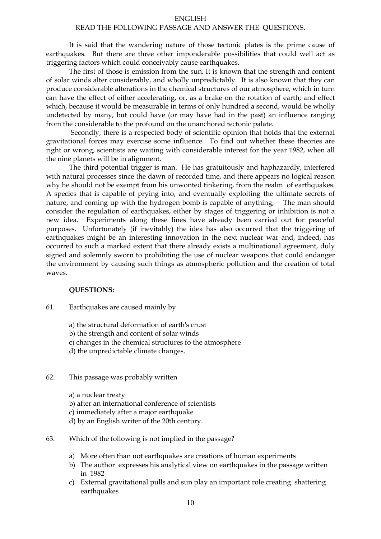#### ENGLISH

#### READ THE FOLLOWING PASSAGE AND ANSWER THE QUESTIONS.

 It is said that the wandering nature of those tectonic plates is the prime cause of earthquakes. But there are three other imponderable possibilities that could well act as triggering factors which could conceivably cause earthquakes.

 The first of those is emission from the sun. It is known that the strength and content of solar winds alter considerably, and wholly unpredictably. It is also known that they can produce considerable alterations in the chemical structures of our atmosphere, which in turn can have the effect of either accelerating, or, as a brake on the rotation of earth; and effect which, because it would be measurable in terms of only hundred a second, would be wholly undetected by many, but could have (or may have had in the past) an influence ranging from the considerable to the profound on the unanchored tectonic palate.

 Secondly, there is a respected body of scientific opinion that holds that the external gravitational forces may exercise some influence. To find out whether these theories are right or wrong, scientists are waiting with considerable interest for the year 1982, when all the nine planets will be in alignment.

 The third potential trigger is man. He has gratuitously and haphazardly, interfered with natural processes since the dawn of recorded time, and there appears no logical reason why he should not be exempt from his unwonted tinkering, from the realm of earthquakes. A species that is capable of prying into, and eventually exploiting the ultimate secrets of nature, and coming up with the hydrogen bomb is capable of anything, The man should consider the regulation of earthquakes, either by stages of triggering or inhibition is not a new idea. Experiments along these lines have already been carried out for peaceful purposes. Unfortunately (if inevitably) the idea has also occurred that the triggering of earthquakes might be an interesting innovation in the next nuclear war and, indeed, has occurred to such a marked extent that there already exists a multinational agreement, duly signed and solemnly sworn to prohibiting the use of nuclear weapons that could endanger the environment by causing such things as atmospheric pollution and the creation of total waves.

#### **QUESTIONS:**

- 61. Earthquakes are caused mainly by
	- a) the structural deformation of earth's crust
	- b) the strength and content of solar winds
	- c) changes in the chemical structures fo the atmosphere
	- d) the unpredictable climate changes.
- 62. This passage was probably written

 a) a nuclear treaty b) after an international conference of scientists c) immediately after a major earthquake d) by an English writer of the 20th century.

- 63. Which of the following is not implied in the passage?
	- a) More often than not earthquakes are creations of human experiments
	- b) The author expresses his analytical view on earthquakes in the passage written in 1982
	- c) External gravitational pulls and sun play an important role creating shattering earthquakes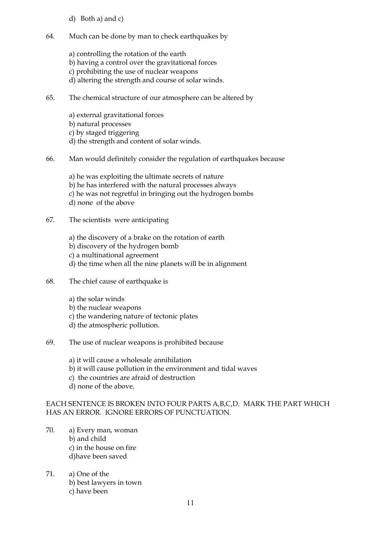- d) Both a) and c)
- 64. Much can be done by man to check earthquakes by
	- a) controlling the rotation of the earth b) having a control over the gravitational forces c) prohibiting the use of nuclear weapons d) altering the strength and course of solar winds.
- 65. The chemical structure of our atmosphere can be altered by
	- a) external gravitational forces b) natural processes c) by staged triggering d) the strength and content of solar winds.
- 66. Man would definitely consider the regulation of earthquakes because
	- a) he was exploiting the ultimate secrets of nature b) he has interfered with the natural processes always c) he was not regretful in bringing out the hydrogen bombs d) none of the above
- 67. The scientists were anticipating
	- a) the discovery of a brake on the rotation of earth b) discovery of the hydrogen bomb c) a multinational agreement d) the time when all the nine planets will be in alignment
- 68. The chief cause of earthquake is
	- a) the solar winds
	- b) the nuclear weapons
	- c) the wandering nature of tectonic plates
	- d) the atmospheric pollution.
- 69. The use of nuclear weapons is prohibited because
	- a) it will cause a wholesale annihilation
	- b) it will cause pollution in the environment and tidal waves
	- c) the countries are afraid of destruction
	- d) none of the above.

## EACH SENTENCE IS BROKEN INTO FOUR PARTS A,B,C,D. MARK THE PART WHICH HAS AN ERROR. IGNORE ERRORS OF PUNCTUATION.

- 70. a) Every man, woman b) and child c) in the house on fire d)have been saved
- 71. a) One of the b) best lawyers in town c) have been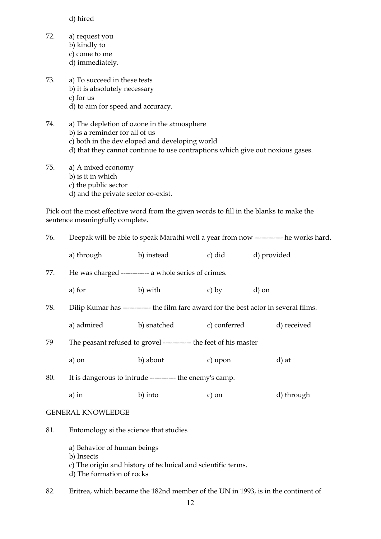d) hired

- 72. a) request you b) kindly to c) come to me d) immediately.
- 73. a) To succeed in these tests b) it is absolutely necessary c) for us d) to aim for speed and accuracy.
- 74. a) The depletion of ozone in the atmosphere b) is a reminder for all of us c) both in the dev eloped and developing world d) that they cannot continue to use contraptions which give out noxious gases.
- 75. a) A mixed economy b) is it in which c) the public sector d) and the private sector co-exist.

Pick out the most effective word from the given words to fill in the blanks to make the sentence meaningfully complete.

| a) through                                                        | b) instead | $\alpha$ ) did                                                                                                   | d) provided                                                                                                                                                                                                                                                                                                                         |  |  |
|-------------------------------------------------------------------|------------|------------------------------------------------------------------------------------------------------------------|-------------------------------------------------------------------------------------------------------------------------------------------------------------------------------------------------------------------------------------------------------------------------------------------------------------------------------------|--|--|
|                                                                   |            |                                                                                                                  |                                                                                                                                                                                                                                                                                                                                     |  |  |
| a) for                                                            | b) with    | c) by                                                                                                            | d) on                                                                                                                                                                                                                                                                                                                               |  |  |
|                                                                   |            |                                                                                                                  |                                                                                                                                                                                                                                                                                                                                     |  |  |
|                                                                   |            |                                                                                                                  | d) received                                                                                                                                                                                                                                                                                                                         |  |  |
| The peasant refused to grovel ------------ the feet of his master |            |                                                                                                                  |                                                                                                                                                                                                                                                                                                                                     |  |  |
| a) on                                                             | b) about   | c) upon                                                                                                          | d) at                                                                                                                                                                                                                                                                                                                               |  |  |
| It is dangerous to intrude ----------- the enemy's camp.          |            |                                                                                                                  |                                                                                                                                                                                                                                                                                                                                     |  |  |
| a) in                                                             | b) into    | c) on                                                                                                            | d) through                                                                                                                                                                                                                                                                                                                          |  |  |
| <b>GENERAL KNOWLEDGE</b>                                          |            |                                                                                                                  |                                                                                                                                                                                                                                                                                                                                     |  |  |
|                                                                   |            |                                                                                                                  |                                                                                                                                                                                                                                                                                                                                     |  |  |
| b) Insects                                                        |            |                                                                                                                  |                                                                                                                                                                                                                                                                                                                                     |  |  |
|                                                                   |            | a) admired<br>Entomology si the science that studies<br>a) Behavior of human beings<br>d) The formation of rocks | Deepak will be able to speak Marathi well a year from now ------------ he works hard.<br>He was charged ------------ a whole series of crimes.<br>Dilip Kumar has ------------ the film fare award for the best actor in several films.<br>b) snatched c) conferred<br>c) The origin and history of technical and scientific terms. |  |  |

82. Eritrea, which became the 182nd member of the UN in 1993, is in the continent of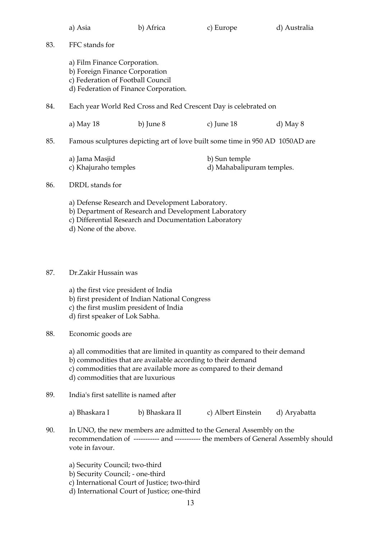|     | a) Asia                                                                                                                                      | b) Africa                                                                                                                                                        | c) Europe                                                                                                                                                   | d) Australia |
|-----|----------------------------------------------------------------------------------------------------------------------------------------------|------------------------------------------------------------------------------------------------------------------------------------------------------------------|-------------------------------------------------------------------------------------------------------------------------------------------------------------|--------------|
| 83. | FFC stands for                                                                                                                               |                                                                                                                                                                  |                                                                                                                                                             |              |
|     | a) Film Finance Corporation.<br>b) Foreign Finance Corporation<br>c) Federation of Football Council<br>d) Federation of Finance Corporation. |                                                                                                                                                                  |                                                                                                                                                             |              |
| 84. |                                                                                                                                              |                                                                                                                                                                  | Each year World Red Cross and Red Crescent Day is celebrated on                                                                                             |              |
|     | a) May 18                                                                                                                                    | b) June $8$                                                                                                                                                      | c) June $18$                                                                                                                                                | d) May $8$   |
| 85. |                                                                                                                                              |                                                                                                                                                                  | Famous sculptures depicting art of love built some time in 950 AD 1050AD are                                                                                |              |
|     | a) Jama Masjid<br>c) Khajuraho temples                                                                                                       |                                                                                                                                                                  | b) Sun temple<br>d) Mahabalipuram temples.                                                                                                                  |              |
| 86. | DRDL stands for                                                                                                                              |                                                                                                                                                                  |                                                                                                                                                             |              |
|     | d) None of the above.                                                                                                                        | a) Defense Research and Development Laboratory.<br>b) Department of Research and Development Laboratory<br>c) Differential Research and Documentation Laboratory |                                                                                                                                                             |              |
| 87. | Dr.Zakir Hussain was                                                                                                                         |                                                                                                                                                                  |                                                                                                                                                             |              |
|     | a) the first vice president of India<br>c) the first muslim president of India<br>d) first speaker of Lok Sabha.                             | b) first president of Indian National Congress                                                                                                                   |                                                                                                                                                             |              |
| 88. | Economic goods are                                                                                                                           |                                                                                                                                                                  |                                                                                                                                                             |              |
|     | d) commodities that are luxurious                                                                                                            | b) commodities that are available according to their demand                                                                                                      | a) all commodities that are limited in quantity as compared to their demand<br>c) commodities that are available more as compared to their demand           |              |
| 89. | India's first satellite is named after                                                                                                       |                                                                                                                                                                  |                                                                                                                                                             |              |
|     | a) Bhaskara I                                                                                                                                | b) Bhaskara II                                                                                                                                                   | c) Albert Einstein                                                                                                                                          | d) Aryabatta |
| 90. | vote in favour.                                                                                                                              |                                                                                                                                                                  | In UNO, the new members are admitted to the General Assembly on the<br>recommendation of ----------- and ----------- the members of General Assembly should |              |
|     | a) Security Council; two-third<br>b) Security Council; - one-third                                                                           |                                                                                                                                                                  |                                                                                                                                                             |              |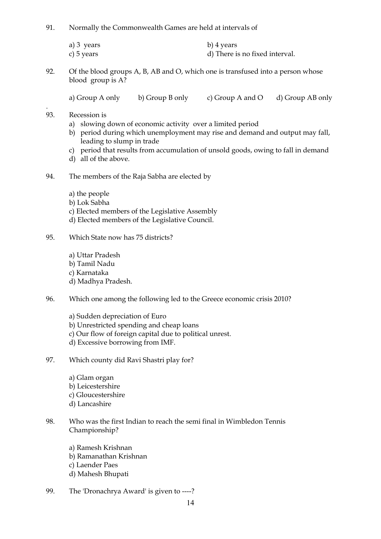91. Normally the Commonwealth Games are held at intervals of

| a) 3 years | b) 4 years                     |
|------------|--------------------------------|
| c) 5 years | d) There is no fixed interval. |

- 92. Of the blood groups A, B, AB and O, which one is transfused into a person whose blood group is A?
	- a) Group A only b) Group B only c) Group A and O d) Group AB only
- 93. Recession is

.

- a) slowing down of economic activity over a limited period
- b) period during which unemployment may rise and demand and output may fall, leading to slump in trade
- c) period that results from accumulation of unsold goods, owing to fall in demand
- d) all of the above.
- 94. The members of the Raja Sabha are elected by
	- a) the people
	- b) Lok Sabha
	- c) Elected members of the Legislative Assembly
	- d) Elected members of the Legislative Council.
- 95. Which State now has 75 districts?
	- a) Uttar Pradesh b) Tamil Nadu c) Karnataka d) Madhya Pradesh.
- 96. Which one among the following led to the Greece economic crisis 2010?

 a) Sudden depreciation of Euro b) Unrestricted spending and cheap loans c) Our flow of foreign capital due to political unrest. d) Excessive borrowing from IMF.

- 97. Which county did Ravi Shastri play for?
	- a) Glam organ b) Leicestershire c) Gloucestershire d) Lancashire
- 98. Who was the first Indian to reach the semi final in Wimbledon Tennis Championship?

 a) Ramesh Krishnan b) Ramanathan Krishnan c) Laender Paes d) Mahesh Bhupati

99. The 'Dronachrya Award' is given to ----?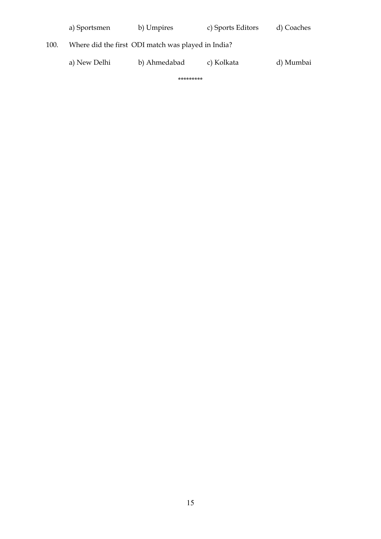|      | a) Sportsmen | b) Umpires                                         | c) Sports Editors | d) Coaches |
|------|--------------|----------------------------------------------------|-------------------|------------|
| 100. |              | Where did the first ODI match was played in India? |                   |            |
|      | a) New Delhi | b) Ahmedabad                                       | c) Kolkata        | d) Mumbai  |

\*\*\*\*\*\*\*\*\*